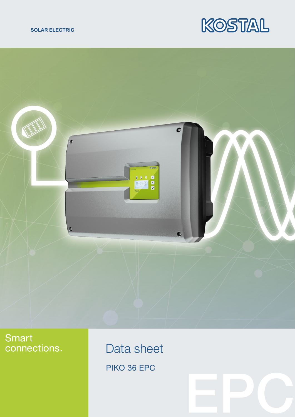### **SOLAR ELECTRIC**





# Smart connections.

Data sheet PIKO 36 EPC

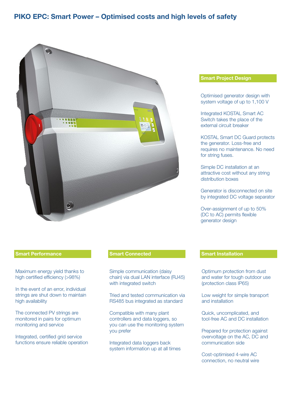## PIKO EPC: Smart Power – Optimised costs and high levels of safety



### Smart Performance Smart Connected Smart Installation

Maximum energy yield thanks to high certified efficiency (>98%)

In the event of an error, individual strings are shut down to maintain high availability

The connected PV strings are monitored in pairs for optimum monitoring and service

Integrated, certified grid service functions ensure reliable operation

Simple communication (daisy chain) via dual LAN interface (RJ45) with integrated switch

Tried and tested communication via RS485 bus integrated as standard

Compatible with many plant controllers and data loggers, so you can use the monitoring system you prefer

Integrated data loggers back system information up at all times

### Smart Project Design

Optimised generator design with system voltage of up to 1,100 V

Integrated KOSTAL Smart AC Switch takes the place of the external circuit breaker

KOSTAL Smart DC Guard protects the generator. Loss-free and requires no maintenance. No need for string fuses.

Simple DC installation at an attractive cost without any string distribution boxes

Generator is disconnected on site by integrated DC voltage separator

Over-assignment of up to 50% (DC to AC) permits flexible generator design

Optimum protection from dust and water for tough outdoor use (protection class IP65)

Low weight for simple transport and installation

Quick, uncomplicated, and tool-free AC and DC installation

Prepared for protection against overvoltage on the AC, DC and communication side

Cost-optimised 4-wire AC connection, no neutral wire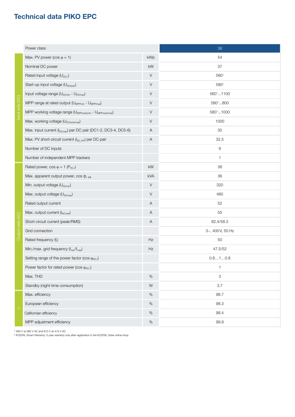# Technical data PIKO EPC

|                  | Power class                                                                    |      | 36              |
|------------------|--------------------------------------------------------------------------------|------|-----------------|
| Input side (DC)  | Max. PV power ( $cos \varphi = 1$ )                                            | kWp  | 54              |
|                  | Nominal DC power                                                               | kW   | 37              |
|                  | Rated input voltage (U <sub>DC,r</sub> )                                       | V    | 5801            |
|                  | Start-up input voltage (U <sub>DCstart</sub> )                                 | V    | 5801            |
|                  | Input voltage range (U <sub>DCmin</sub> - U <sub>DCmax</sub> )                 | V    | 56011100        |
|                  | MPP range at rated output (U <sub>MPPmin</sub> - U <sub>MPPmax</sub> )         | V    | 5801800         |
|                  | MPP working voltage range (U <sub>MPPworkmin</sub> - U <sub>MPPworkmax</sub> ) | V    | 58011000        |
|                  | Max. working voltage (U <sub>DCworkmax</sub> )                                 | V    | 1000            |
|                  | Max. input current (I <sub>DCmax</sub> ) per DC pair (DC1-2, DC3-4, DC5-6)     | A    | 30              |
|                  | Max. PV short-circuit current (I <sub>SC_PV</sub> ) per DC pair                | Α    | 32.5            |
|                  | Number of DC inputs                                                            |      | 6               |
|                  | Number of independent MPP trackers                                             |      | 1               |
| Output side (AC) | Rated power, $cos \varphi = 1 (P_{AC,r})$                                      | kW   | 36              |
|                  | Max. apparent output power, $cos \phi$ , adj                                   | kVA  | 36              |
|                  | Min. output voltage (UACmin)                                                   | V    | 320             |
|                  | Max. output voltage (UACmax)                                                   | V    | 460             |
|                  | Rated output current                                                           | Α    | 52              |
|                  | Max. output current (IACmax)                                                   | A    | 55              |
|                  | Short-circuit current (peak/RMS)                                               | A    | 82.4/58.3       |
|                  | Grid connection                                                                |      | 3~, 400V, 50 Hz |
|                  | Rated frequency (fr)                                                           | Hz   | 50              |
|                  | Min./max. grid frequency (f <sub>min</sub> /f <sub>max</sub> )                 | Hz   | 47.5/52         |
|                  | Setting range of the power factor ( $\cos \varphi_{AC,r}$ )                    |      | 0.810.8         |
|                  | Power factor for rated power (cos $\varphi_{AC,r}$ )                           |      | 1               |
|                  | Max. THD                                                                       | $\%$ | 3               |
|                  | Standby (night-time consumption)                                               | W    | 3.7             |
| $\square$        | Max. efficiency                                                                | $\%$ | 98.7            |
|                  | European efficiency                                                            | $\%$ | 98.3            |
|                  | Californian efficiency                                                         | $\%$ | 98.4            |
|                  | MPP adjustment efficiency                                                      | $\%$ | 99.9            |

1) 560 V at 380 V AC and 610 V at 415 V AC

<sup>2)</sup> KOSTAL Smart Warranty: 5-year warranty only after registration in the KOSTAL Solar online shop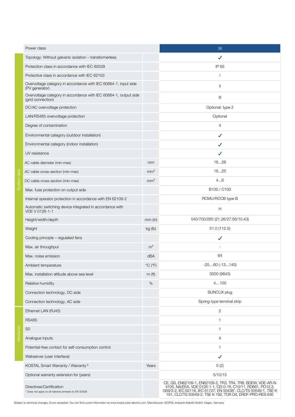| Power class                                                                           |                              | 36                                                                                                                                                                                                                                                         |
|---------------------------------------------------------------------------------------|------------------------------|------------------------------------------------------------------------------------------------------------------------------------------------------------------------------------------------------------------------------------------------------------|
| Topology: Without galvanic isolation - transformerless                                |                              | ✔                                                                                                                                                                                                                                                          |
| Protection class in accordance with IEC 60529                                         |                              | IP 65                                                                                                                                                                                                                                                      |
| Protective class in accordance with IEC 62103                                         |                              |                                                                                                                                                                                                                                                            |
| Overvoltage category in accordance with IEC 60664-1, input side<br>(PV generator)     |                              | $\mathsf{I}$                                                                                                                                                                                                                                               |
| Overvoltage category in accordance with IEC 60664-1, output side<br>(arid connection) |                              | $\mathbf{III}$                                                                                                                                                                                                                                             |
| DC/AC overvoltage protection                                                          |                              | Optional: type 2                                                                                                                                                                                                                                           |
| LAN/RS485 overvoltage protection                                                      |                              | Optional                                                                                                                                                                                                                                                   |
| Degree of contamination                                                               |                              | 4                                                                                                                                                                                                                                                          |
| Environmental category (outdoor installation)                                         |                              | ✔                                                                                                                                                                                                                                                          |
| Environmental category (indoor installation)                                          |                              | J                                                                                                                                                                                                                                                          |
| UV resistance                                                                         |                              | J                                                                                                                                                                                                                                                          |
| AC cable diameter (min-max)                                                           | mm                           | 1628                                                                                                                                                                                                                                                       |
| AC cable cross-section (min-max)                                                      | mm <sup>2</sup>              | 1625                                                                                                                                                                                                                                                       |
| DC cable cross-section (min-max)                                                      | mm <sup>2</sup>              | 46                                                                                                                                                                                                                                                         |
| Max. fuse protection on output side                                                   |                              | B100 / C100                                                                                                                                                                                                                                                |
| Internal operator protection in accordance with EN 62109-2                            |                              | RCMU/RCCB type B                                                                                                                                                                                                                                           |
| Automatic switching device integrated in accordance with<br>VDE V 0126-1-1            |                              | н                                                                                                                                                                                                                                                          |
| Height/width/depth                                                                    | $mm$ (in)                    | 540/700/265 (21.26/27.56/10.43)                                                                                                                                                                                                                            |
| Weight                                                                                | kg (lb)                      | 51.0(112.5)                                                                                                                                                                                                                                                |
| Cooling principle - regulated fans                                                    |                              | ✔                                                                                                                                                                                                                                                          |
| Max. air throughput                                                                   | m <sup>3</sup>               |                                                                                                                                                                                                                                                            |
| Max, noise emission                                                                   | dBA                          | 64                                                                                                                                                                                                                                                         |
| Ambient temperature                                                                   | $^{\circ}$ C ( $^{\circ}$ F) | $-2560$ $(-13140)$                                                                                                                                                                                                                                         |
| Max. installation altitude above sea level                                            | m <sub>(ft)</sub>            | 3000 (9843)                                                                                                                                                                                                                                                |
| Relative humidity                                                                     | $\%$                         | 4100                                                                                                                                                                                                                                                       |
| Connection technology, DC side                                                        |                              | SUNCLIX plug                                                                                                                                                                                                                                               |
| Connection technology, AC side                                                        |                              | Spring-type terminal strip                                                                                                                                                                                                                                 |
| Ethernet LAN (RJ45)                                                                   |                              | $\overline{c}$                                                                                                                                                                                                                                             |
| <b>RS485</b>                                                                          |                              | $\mathbf{1}$                                                                                                                                                                                                                                               |
| SO                                                                                    |                              | 1                                                                                                                                                                                                                                                          |
| Analogue inputs                                                                       |                              | $\overline{4}$                                                                                                                                                                                                                                             |
| Potential-free contact for self-consumption control                                   |                              | $\mathbf{1}$                                                                                                                                                                                                                                               |
| Webserver (user interface)                                                            |                              | ✔                                                                                                                                                                                                                                                          |
| KOSTAL Smart Warranty / Warranty <sup>2)</sup>                                        | Years                        | 5(2)                                                                                                                                                                                                                                                       |
| Optional warranty extension for (years)                                               |                              | 5/10/15                                                                                                                                                                                                                                                    |
| Directives/Certification<br>* Does not apply to all national annexes to EN 50438      |                              | CE, GS, EN62109-1, EN62109-2, TR3, TR4, TR8, BDEW, VDE-AR-N<br>4105, NA/EEA, VDÉ 0126-1-1, CEI 0-16, C10/11, RD661, PO12.3,<br>G59/3-2, IEC 62116, IEC 61727, EN 50438*, CLC/TS 50549-1, TSE K<br>191, CLC/TS 50549-2, TSE K 192, TOR D4, ERDF-PRO-RES 64E |

Subject to technical changes. Errors excepted. You can find current information at www.kostal-solar-electric.com. Manufacturer: KOSTAL Industrie Elektrik GmbH, Hagen, Germany

Interfaces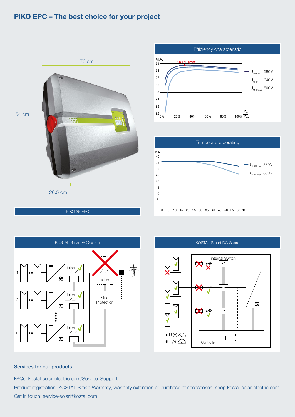# PIKO EPC – The best choice for your project













### Services for our products

FAQs: kostal-solar-electric.com/Service\_Support

Product registration, KOSTAL Smart Warranty, warranty extension or purchase of accessories: shop.kostal-solar-electric.com Get in touch: service-solar@kostal.com